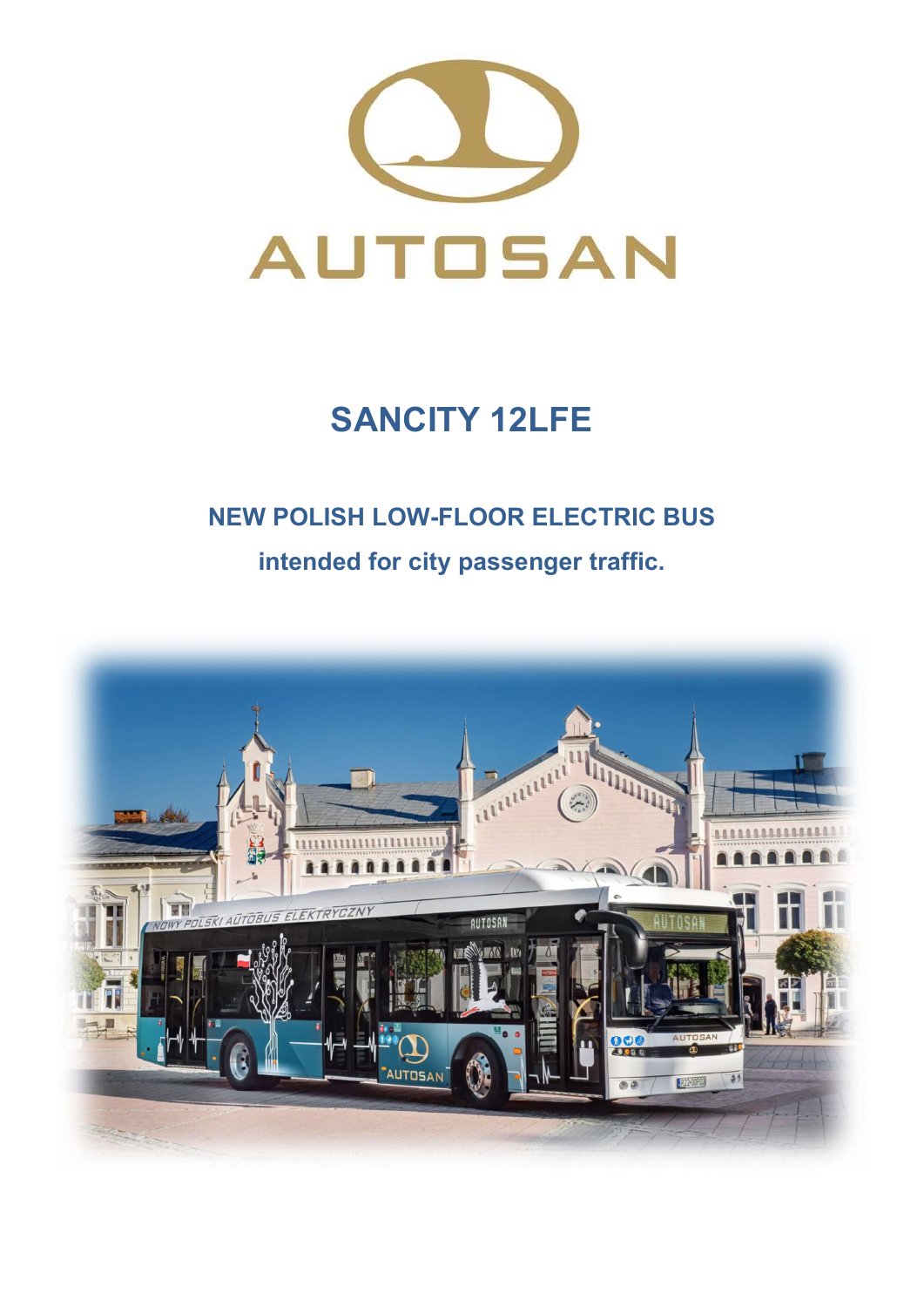

# SANCITY 12LFE

# NEW POLISH LOW-FLOOR ELECTRIC BUS

intended for city passenger traffic.